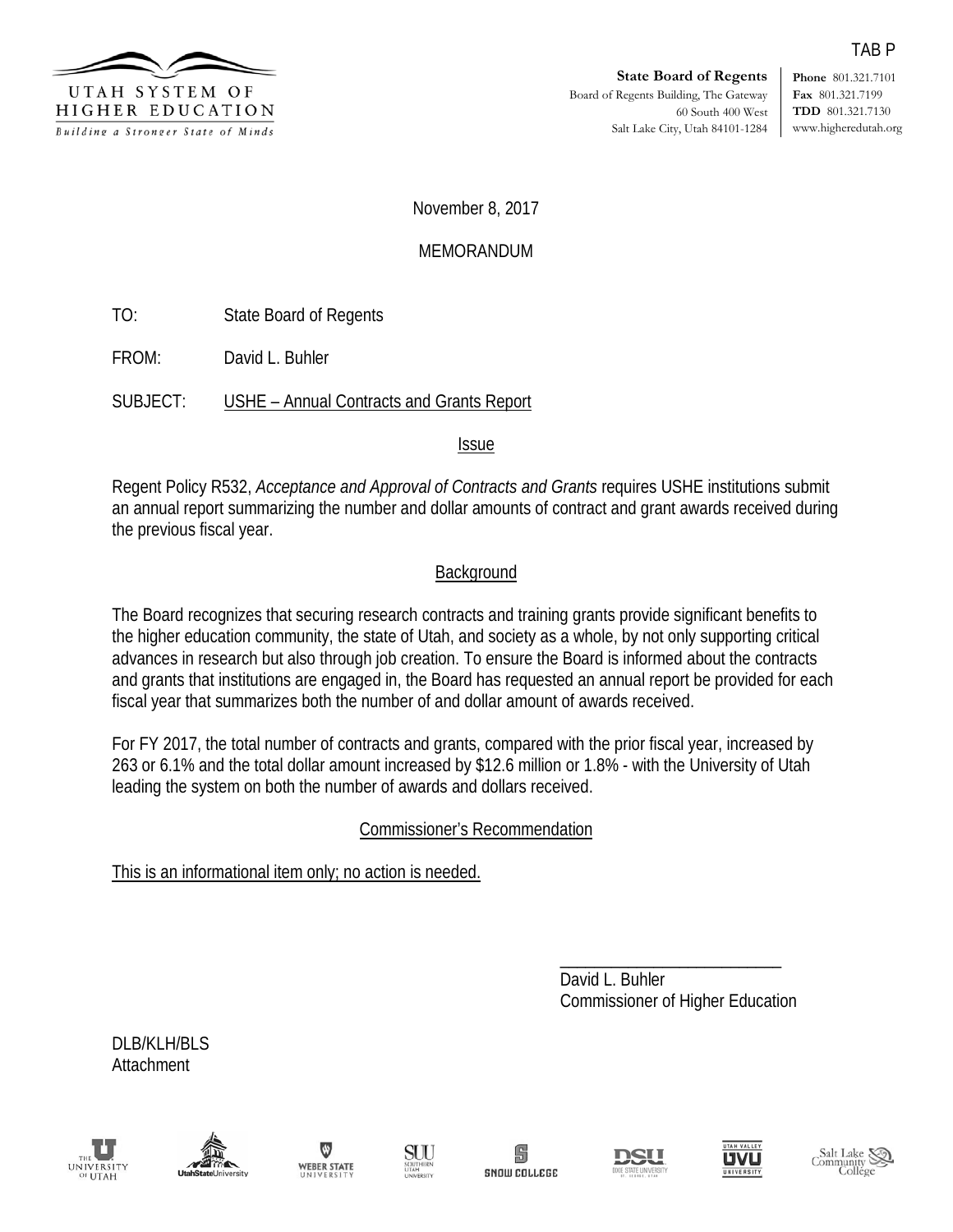

**Phone** 801.321.7101 **Fax** 801.321.7199 **TDD** 801.321.7130 www.higheredutah.org

November 8, 2017

## MEMORANDUM

TO: State Board of Regents

FROM: David L. Buhler

SUBJECT: USHE – Annual Contracts and Grants Report

**Issue** 

Regent Policy R532, *Acceptance and Approval of Contracts and Grants* requires USHE institutions submit an annual report summarizing the number and dollar amounts of contract and grant awards received during the previous fiscal year.

## **Background**

The Board recognizes that securing research contracts and training grants provide significant benefits to the higher education community, the state of Utah, and society as a whole, by not only supporting critical advances in research but also through job creation. To ensure the Board is informed about the contracts and grants that institutions are engaged in, the Board has requested an annual report be provided for each fiscal year that summarizes both the number of and dollar amount of awards received.

For FY 2017, the total number of contracts and grants, compared with the prior fiscal year, increased by 263 or 6.1% and the total dollar amount increased by \$12.6 million or 1.8% - with the University of Utah leading the system on both the number of awards and dollars received.

## Commissioner's Recommendation

This is an informational item only; no action is needed.

\_\_\_\_\_\_\_\_\_\_\_\_\_\_\_\_\_\_\_\_\_\_\_\_\_\_ David L. Buhler Commissioner of Higher Education

DLB/KLH/BLS Attachment















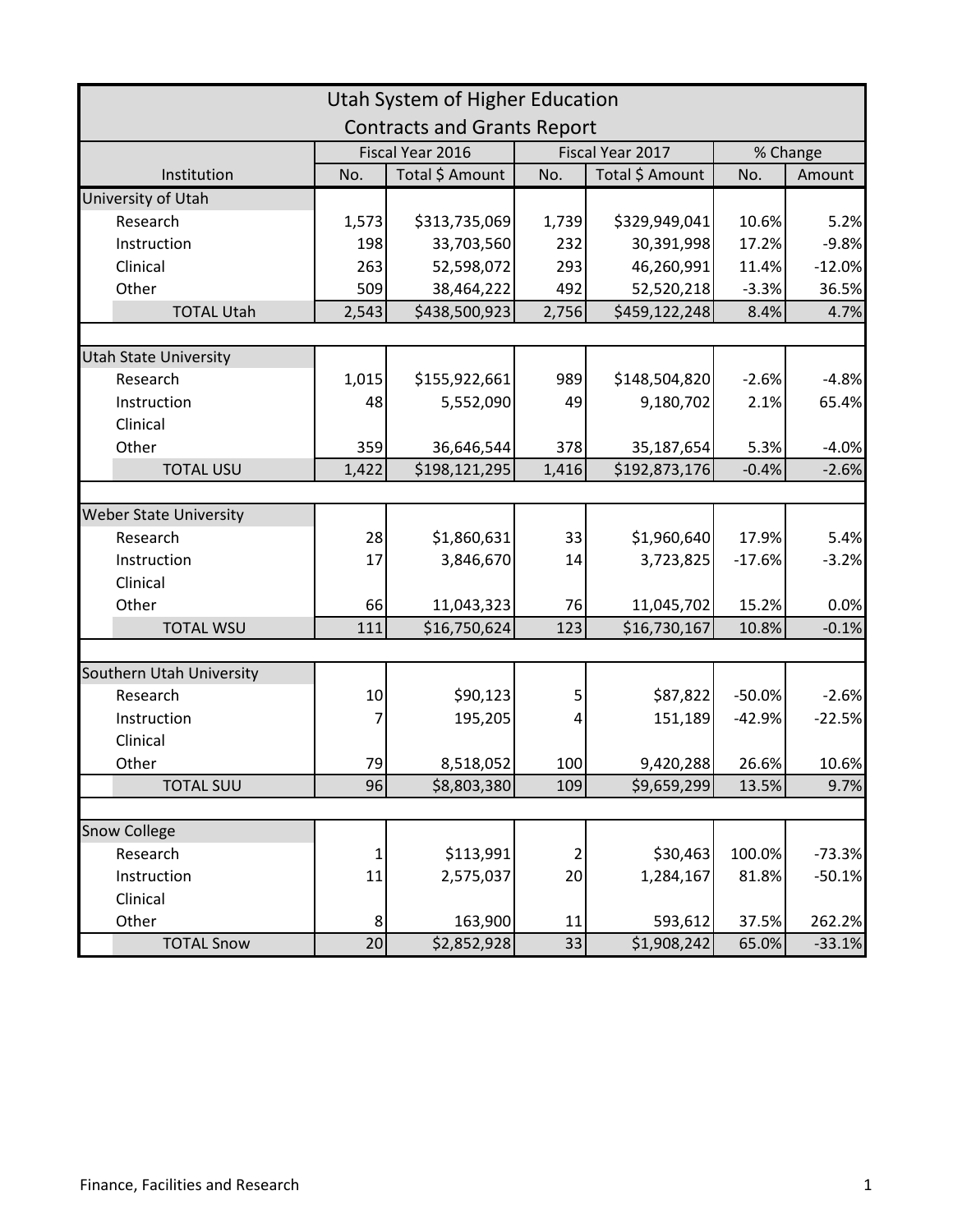| Utah System of Higher Education    |        |                  |                  |                 |          |          |  |  |  |  |
|------------------------------------|--------|------------------|------------------|-----------------|----------|----------|--|--|--|--|
| <b>Contracts and Grants Report</b> |        |                  |                  |                 |          |          |  |  |  |  |
|                                    |        | Fiscal Year 2016 | Fiscal Year 2017 |                 | % Change |          |  |  |  |  |
| Institution                        | No.    | Total \$ Amount  | No.              | Total \$ Amount | No.      | Amount   |  |  |  |  |
| University of Utah                 |        |                  |                  |                 |          |          |  |  |  |  |
| Research                           | 1,573  | \$313,735,069    | 1,739            | \$329,949,041   | 10.6%    | 5.2%     |  |  |  |  |
| Instruction                        | 198    | 33,703,560       | 232              | 30,391,998      | 17.2%    | $-9.8%$  |  |  |  |  |
| Clinical                           | 263    | 52,598,072       | 293              | 46,260,991      | 11.4%    | $-12.0%$ |  |  |  |  |
| Other                              | 509    | 38,464,222       | 492              | 52,520,218      | $-3.3%$  | 36.5%    |  |  |  |  |
| <b>TOTAL Utah</b>                  | 2,543  | \$438,500,923    | 2,756            | \$459,122,248   | 8.4%     | 4.7%     |  |  |  |  |
|                                    |        |                  |                  |                 |          |          |  |  |  |  |
| <b>Utah State University</b>       |        |                  |                  |                 |          |          |  |  |  |  |
| Research                           | 1,015  | \$155,922,661    | 989              | \$148,504,820   | $-2.6%$  | $-4.8%$  |  |  |  |  |
| Instruction                        | 48     | 5,552,090        | 49               | 9,180,702       | 2.1%     | 65.4%    |  |  |  |  |
| Clinical                           |        |                  |                  |                 |          |          |  |  |  |  |
| Other                              | 359    | 36,646,544       | 378              | 35,187,654      | 5.3%     | $-4.0%$  |  |  |  |  |
| <b>TOTAL USU</b>                   | 1,422  | \$198,121,295    | 1,416            | \$192,873,176   | $-0.4%$  | $-2.6%$  |  |  |  |  |
|                                    |        |                  |                  |                 |          |          |  |  |  |  |
| <b>Weber State University</b>      |        |                  |                  |                 |          |          |  |  |  |  |
| Research                           | 28     | \$1,860,631      | 33               | \$1,960,640     | 17.9%    | 5.4%     |  |  |  |  |
| Instruction                        | 17     | 3,846,670        | 14               | 3,723,825       | $-17.6%$ | $-3.2%$  |  |  |  |  |
| Clinical                           |        |                  |                  |                 |          |          |  |  |  |  |
| Other                              | 66     | 11,043,323       | 76               | 11,045,702      | 15.2%    | 0.0%     |  |  |  |  |
| <b>TOTAL WSU</b>                   | 111    | \$16,750,624     | 123              | \$16,730,167    | 10.8%    | $-0.1%$  |  |  |  |  |
|                                    |        |                  |                  |                 |          |          |  |  |  |  |
| Southern Utah University           |        |                  |                  |                 |          |          |  |  |  |  |
| Research                           | $10\,$ | \$90,123         | 5                | \$87,822        | $-50.0%$ | $-2.6%$  |  |  |  |  |
| Instruction                        | 7      | 195,205          | 4                | 151,189         | $-42.9%$ | $-22.5%$ |  |  |  |  |
| Clinical                           |        |                  |                  |                 |          |          |  |  |  |  |
| Other                              | 79     | 8,518,052        | 100              | 9,420,288       | 26.6%    | 10.6%    |  |  |  |  |
| <b>TOTAL SUU</b>                   | 96     | \$8,803,380      | 109              | \$9,659,299     | 13.5%    | 9.7%     |  |  |  |  |
|                                    |        |                  |                  |                 |          |          |  |  |  |  |
| <b>Snow College</b>                |        |                  |                  |                 |          |          |  |  |  |  |
| Research                           | 1      | \$113,991        | 2                | \$30,463        | 100.0%   | $-73.3%$ |  |  |  |  |
| Instruction                        | 11     | 2,575,037        | 20               | 1,284,167       | 81.8%    | $-50.1%$ |  |  |  |  |
| Clinical                           |        |                  |                  |                 |          |          |  |  |  |  |
| Other                              | 8      | 163,900          | 11               | 593,612         | 37.5%    | 262.2%   |  |  |  |  |
| <b>TOTAL Snow</b>                  | 20     | \$2,852,928      | 33               | \$1,908,242     | 65.0%    | $-33.1%$ |  |  |  |  |